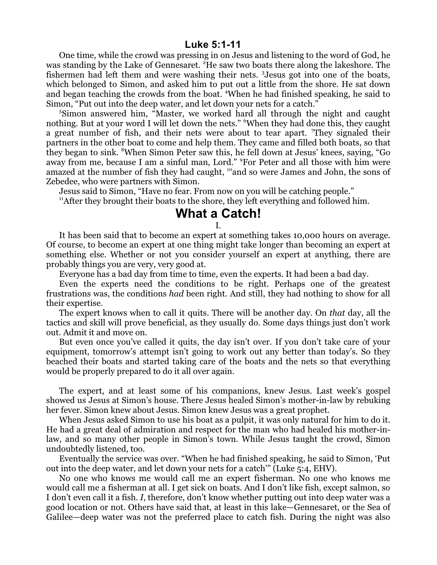## **Luke 5:1-11**

One time, while the crowd was pressing in on Jesus and listening to the word of God, he was standing by the Lake of Gennesaret. <sup>2</sup>He saw two boats there along the lakeshore. The fishermen had left them and were washing their nets. <sup>3</sup>Jesus got into one of the boats, which belonged to Simon, and asked him to put out a little from the shore. He sat down and began teaching the crowds from the boat. <sup>4</sup>When he had finished speaking, he said to Simon, "Put out into the deep water, and let down your nets for a catch."

5 Simon answered him, "Master, we worked hard all through the night and caught nothing. But at your word I will let down the nets." "When they had done this, they caught a great number of fish, and their nets were about to tear apart. <sup>7</sup>They signaled their partners in the other boat to come and help them. They came and filled both boats, so that they began to sink. <sup>8</sup>When Simon Peter saw this, he fell down at Jesus' knees, saying, "Go away from me, because I am a sinful man, Lord." <sup>9</sup>For Peter and all those with him were amazed at the number of fish they had caught, <sup>10</sup> and so were James and John, the sons of Zebedee, who were partners with Simon.

Jesus said to Simon, "Have no fear. From now on you will be catching people."

<sup>11</sup>After they brought their boats to the shore, they left everything and followed him.

## **What a Catch!**

I.

It has been said that to become an expert at something takes 10,000 hours on average. Of course, to become an expert at one thing might take longer than becoming an expert at something else. Whether or not you consider yourself an expert at anything, there are probably things you are very, very good at.

Everyone has a bad day from time to time, even the experts. It had been a bad day.

Even the experts need the conditions to be right. Perhaps one of the greatest frustrations was, the conditions *had* been right. And still, they had nothing to show for all their expertise.

The expert knows when to call it quits. There will be another day. On *that* day, all the tactics and skill will prove beneficial, as they usually do. Some days things just don't work out. Admit it and move on.

But even once you've called it quits, the day isn't over. If you don't take care of your equipment, tomorrow's attempt isn't going to work out any better than today's. So they beached their boats and started taking care of the boats and the nets so that everything would be properly prepared to do it all over again.

The expert, and at least some of his companions, knew Jesus. Last week's gospel showed us Jesus at Simon's house. There Jesus healed Simon's mother-in-law by rebuking her fever. Simon knew about Jesus. Simon knew Jesus was a great prophet.

When Jesus asked Simon to use his boat as a pulpit, it was only natural for him to do it. He had a great deal of admiration and respect for the man who had healed his mother-inlaw, and so many other people in Simon's town. While Jesus taught the crowd, Simon undoubtedly listened, too.

Eventually the service was over. "When he had finished speaking, he said to Simon, 'Put out into the deep water, and let down your nets for a catch'" (Luke 5:4, EHV).

No one who knows me would call me an expert fisherman. No one who knows me would call me a fisherman at all. I get sick on boats. And I don't like fish, except salmon, so I don't even call it a fish. *I*, therefore, don't know whether putting out into deep water was a good location or not. Others have said that, at least in this lake—Gennesaret, or the Sea of Galilee—deep water was not the preferred place to catch fish. During the night was also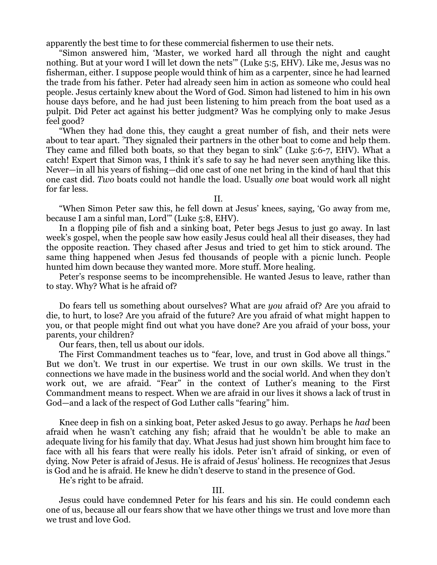apparently the best time to for these commercial fishermen to use their nets.

"Simon answered him, 'Master, we worked hard all through the night and caught nothing. But at your word I will let down the nets'" (Luke 5:5, EHV). Like me, Jesus was no fisherman, either. I suppose people would think of him as a carpenter, since he had learned the trade from his father. Peter had already seen him in action as someone who could heal people. Jesus certainly knew about the Word of God. Simon had listened to him in his own house days before, and he had just been listening to him preach from the boat used as a pulpit. Did Peter act against his better judgment? Was he complying only to make Jesus feel good?

"When they had done this, they caught a great number of fish, and their nets were about to tear apart. <sup>7</sup>They signaled their partners in the other boat to come and help them. They came and filled both boats, so that they began to sink" (Luke 5:6-7, EHV). What a catch! Expert that Simon was, I think it's safe to say he had never seen anything like this. Never—in all his years of fishing—did one cast of one net bring in the kind of haul that this one cast did. *Two* boats could not handle the load. Usually *one* boat would work all night for far less.

II.

"When Simon Peter saw this, he fell down at Jesus' knees, saying, 'Go away from me, because I am a sinful man, Lord'" (Luke 5:8, EHV).

In a flopping pile of fish and a sinking boat, Peter begs Jesus to just go away. In last week's gospel, when the people saw how easily Jesus could heal all their diseases, they had the opposite reaction. They chased after Jesus and tried to get him to stick around. The same thing happened when Jesus fed thousands of people with a picnic lunch. People hunted him down because they wanted more. More stuff. More healing.

Peter's response seems to be incomprehensible. He wanted Jesus to leave, rather than to stay. Why? What is he afraid of?

Do fears tell us something about ourselves? What are *you* afraid of? Are you afraid to die, to hurt, to lose? Are you afraid of the future? Are you afraid of what might happen to you, or that people might find out what you have done? Are you afraid of your boss, your parents, your children?

Our fears, then, tell us about our idols.

The First Commandment teaches us to "fear, love, and trust in God above all things." But we don't. We trust in our expertise. We trust in our own skills. We trust in the connections we have made in the business world and the social world. And when they don't work out, we are afraid. "Fear" in the context of Luther's meaning to the First Commandment means to respect. When we are afraid in our lives it shows a lack of trust in God—and a lack of the respect of God Luther calls "fearing" him.

Knee deep in fish on a sinking boat, Peter asked Jesus to go away. Perhaps he *had* been afraid when he wasn't catching any fish; afraid that he wouldn't be able to make an adequate living for his family that day. What Jesus had just shown him brought him face to face with all his fears that were really his idols. Peter isn't afraid of sinking, or even of dying. Now Peter is afraid of Jesus. He is afraid of Jesus' holiness. He recognizes that Jesus is God and he is afraid. He knew he didn't deserve to stand in the presence of God.

He's right to be afraid.

## III.

Jesus could have condemned Peter for his fears and his sin. He could condemn each one of us, because all our fears show that we have other things we trust and love more than we trust and love God.